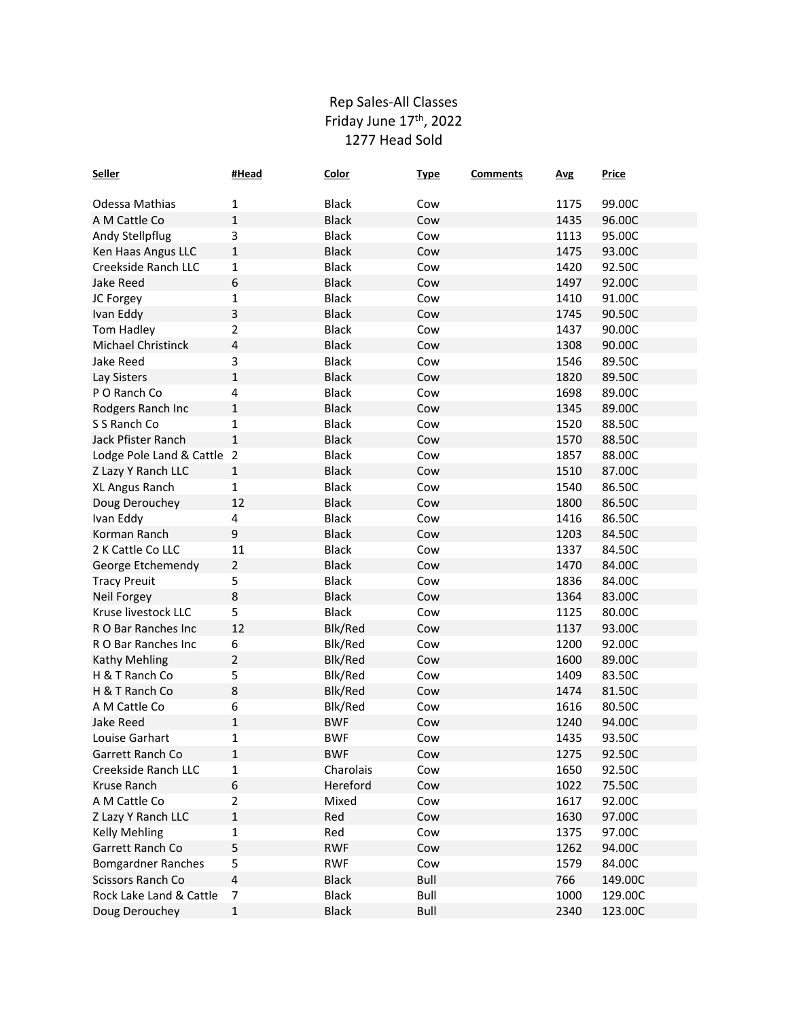## Rep Sales-All Classes Friday June 17<sup>th</sup>, 2022 1277 Head Sold

| <b>Seller</b>              | #Head                   | <b>Color</b> | <b>Type</b> | <b>Comments</b> | <b>Avg</b> | <b>Price</b> |
|----------------------------|-------------------------|--------------|-------------|-----------------|------------|--------------|
| Odessa Mathias             | 1                       | <b>Black</b> | Cow         |                 | 1175       | 99.00C       |
| A M Cattle Co              | 1                       | <b>Black</b> | Cow         |                 | 1435       | 96.00C       |
| Andy Stellpflug            | 3                       | <b>Black</b> | Cow         |                 | 1113       | 95.00C       |
| Ken Haas Angus LLC         | 1                       | <b>Black</b> | Cow         |                 | 1475       | 93.00C       |
| Creekside Ranch LLC        | 1                       | <b>Black</b> | Cow         |                 | 1420       | 92.50C       |
| <b>Jake Reed</b>           | 6                       | <b>Black</b> | Cow         |                 | 1497       | 92.00C       |
| JC Forgey                  | $\mathbf{1}$            | <b>Black</b> | Cow         |                 | 1410       | 91.00C       |
|                            | $\mathsf 3$             | <b>Black</b> |             |                 | 1745       |              |
| Ivan Eddy                  |                         | <b>Black</b> | Cow         |                 | 1437       | 90.50C       |
| Tom Hadley                 | 2                       |              | Cow         |                 |            | 90.00C       |
| Michael Christinck         | $\sqrt{4}$              | <b>Black</b> | Cow         |                 | 1308       | 90.00C       |
| <b>Jake Reed</b>           | 3                       | <b>Black</b> | Cow         |                 | 1546       | 89.50C       |
| Lay Sisters                | 1                       | <b>Black</b> | Cow         |                 | 1820       | 89.50C       |
| PO Ranch Co                | 4                       | <b>Black</b> | Cow         |                 | 1698       | 89.00C       |
| Rodgers Ranch Inc          | $\mathbf{1}$            | <b>Black</b> | Cow         |                 | 1345       | 89.00C       |
| S S Ranch Co               | 1                       | <b>Black</b> | Cow         |                 | 1520       | 88.50C       |
| Jack Pfister Ranch         | $\mathbf{1}$            | <b>Black</b> | Cow         |                 | 1570       | 88.50C       |
| Lodge Pole Land & Cattle 2 |                         | <b>Black</b> | Cow         |                 | 1857       | 88.00C       |
| Z Lazy Y Ranch LLC         | 1                       | <b>Black</b> | Cow         |                 | 1510       | 87.00C       |
| XL Angus Ranch             | 1                       | <b>Black</b> | Cow         |                 | 1540       | 86.50C       |
| Doug Derouchey             | 12                      | <b>Black</b> | Cow         |                 | 1800       | 86.50C       |
| Ivan Eddy                  | 4                       | <b>Black</b> | Cow         |                 | 1416       | 86.50C       |
| Korman Ranch               | 9                       | <b>Black</b> | Cow         |                 | 1203       | 84.50C       |
| 2 K Cattle Co LLC          | 11                      | <b>Black</b> | Cow         |                 | 1337       | 84.50C       |
| George Etchemendy          | $\overline{2}$          | <b>Black</b> | Cow         |                 | 1470       | 84.00C       |
| <b>Tracy Preuit</b>        | 5                       | <b>Black</b> | Cow         |                 | 1836       | 84.00C       |
| Neil Forgey                | 8                       | <b>Black</b> | Cow         |                 | 1364       | 83.00C       |
| Kruse livestock LLC        | 5                       | <b>Black</b> | Cow         |                 | 1125       | 80.00C       |
| R O Bar Ranches Inc        | 12                      | Blk/Red      | Cow         |                 | 1137       | 93.00C       |
| R O Bar Ranches Inc        | 6                       | Blk/Red      | Cow         |                 | 1200       | 92.00C       |
| Kathy Mehling              | $\mathbf 2$             | Blk/Red      | Cow         |                 | 1600       | 89.00C       |
| H & T Ranch Co             | 5                       | Blk/Red      | Cow         |                 | 1409       | 83.50C       |
| H & T Ranch Co             | $\bf 8$                 | Blk/Red      | Cow         |                 | 1474       | 81.50C       |
| A M Cattle Co              | 6                       | Blk/Red      | Cow         |                 | 1616       | 80.50C       |
| <b>Jake Reed</b>           | $\mathbf 1$             | <b>BWF</b>   | Cow         |                 | 1240       | 94.00C       |
| Louise Garhart             | 1                       | <b>BWF</b>   | Cow         |                 | 1435       | 93.50C       |
| Garrett Ranch Co           | $\mathbf{1}$            | <b>BWF</b>   | Cow         |                 | 1275       | 92.50C       |
| Creekside Ranch LLC        | $\mathbf 1$             | Charolais    | Cow         |                 | 1650       | 92.50C       |
| Kruse Ranch                | $\boldsymbol{6}$        | Hereford     | Cow         |                 | 1022       | 75.50C       |
| A M Cattle Co              | $\overline{2}$          | Mixed        | Cow         |                 | 1617       | 92.00C       |
| Z Lazy Y Ranch LLC         | $\mathbf 1$             | Red          | Cow         |                 | 1630       | 97.00C       |
| <b>Kelly Mehling</b>       | 1                       | Red          | Cow         |                 | 1375       | 97.00C       |
| Garrett Ranch Co           | 5                       | <b>RWF</b>   | Cow         |                 | 1262       | 94.00C       |
| <b>Bomgardner Ranches</b>  | 5                       | <b>RWF</b>   | Cow         |                 | 1579       | 84.00C       |
| Scissors Ranch Co          | $\overline{\mathbf{4}}$ | <b>Black</b> | Bull        |                 | 766        | 149.00C      |
| Rock Lake Land & Cattle    | 7                       | <b>Black</b> | Bull        |                 | 1000       | 129.00C      |
| Doug Derouchey             | $\mathbf{1}$            | <b>Black</b> | <b>Bull</b> |                 | 2340       | 123.00C      |
|                            |                         |              |             |                 |            |              |